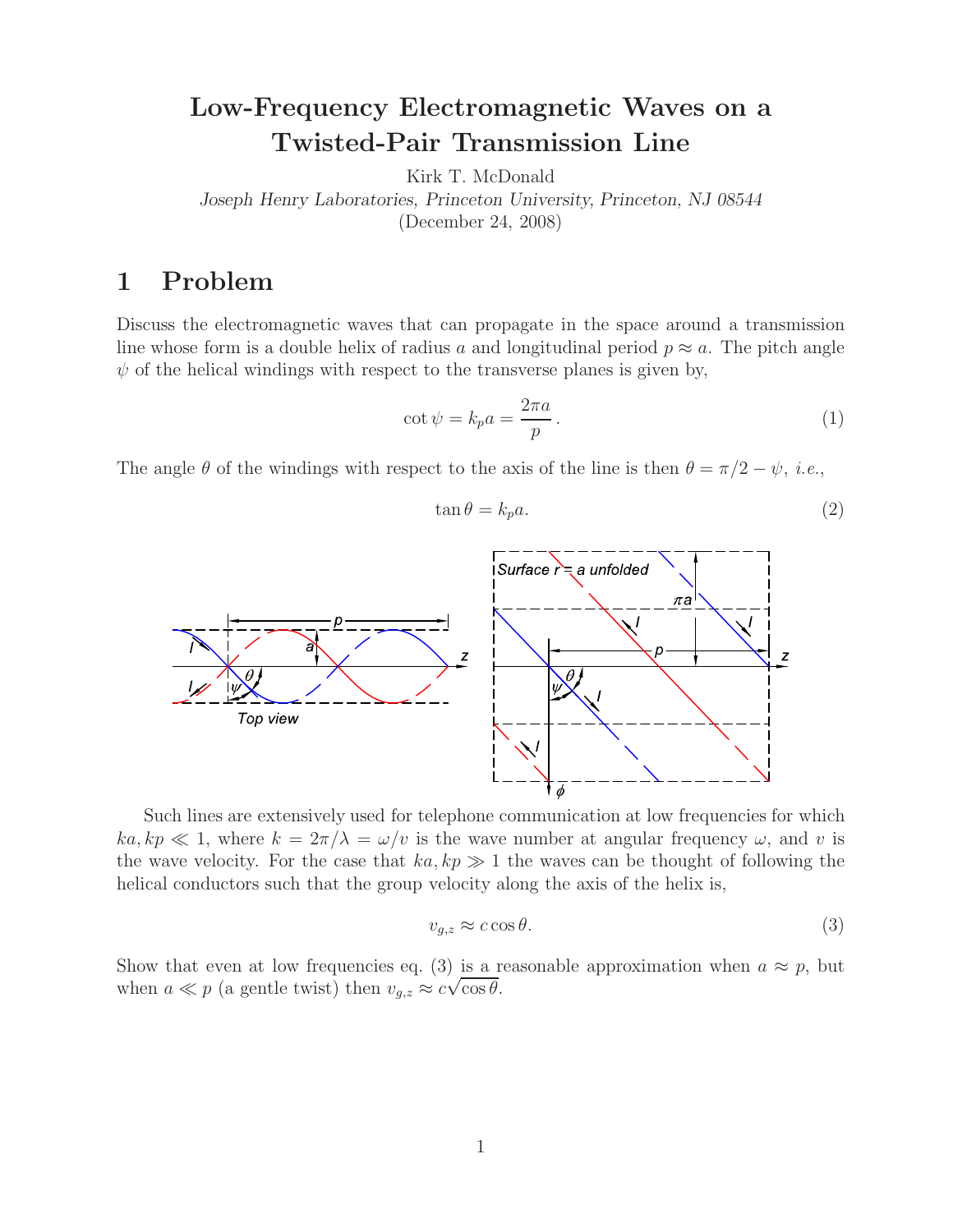# **Low-Frequency Electromagnetic Waves on a Twisted-Pair Transmission Line**

Kirk T. McDonald

*Joseph Henry Laboratories, Princeton University, Princeton, NJ 08544*

(December 24, 2008)

## **1 Problem**

Discuss the electromagnetic waves that can propagate in the space around a transmission line whose form is a double helix of radius a and longitudinal period  $p \approx a$ . The pitch angle  $\psi$  of the helical windings with respect to the transverse planes is given by,

$$
\cot \psi = k_p a = \frac{2\pi a}{p} \,. \tag{1}
$$

The angle  $\theta$  of the windings with respect to the axis of the line is then  $\theta = \pi/2 - \psi$ , *i.e.*,

$$
\tan \theta = k_p a. \tag{2}
$$



Such lines are extensively used for telephone communication at low frequencies for which  $ka, kp \ll 1$ , where  $k = 2\pi/\lambda = \omega/v$  is the wave number at angular frequency  $\omega$ , and v is the wave velocity. For the case that  $ka$ ,  $kp \gg 1$  the waves can be thought of following the helical conductors such that the group velocity along the axis of the helix is,

$$
v_{g,z} \approx c \cos \theta. \tag{3}
$$

Show that even at low frequencies eq. (3) is a reasonable approximation when  $a \approx p$ , but when  $a \ll p$  (a gentle twist) then  $v_{g,z} \approx c\sqrt{\cos\theta}$ .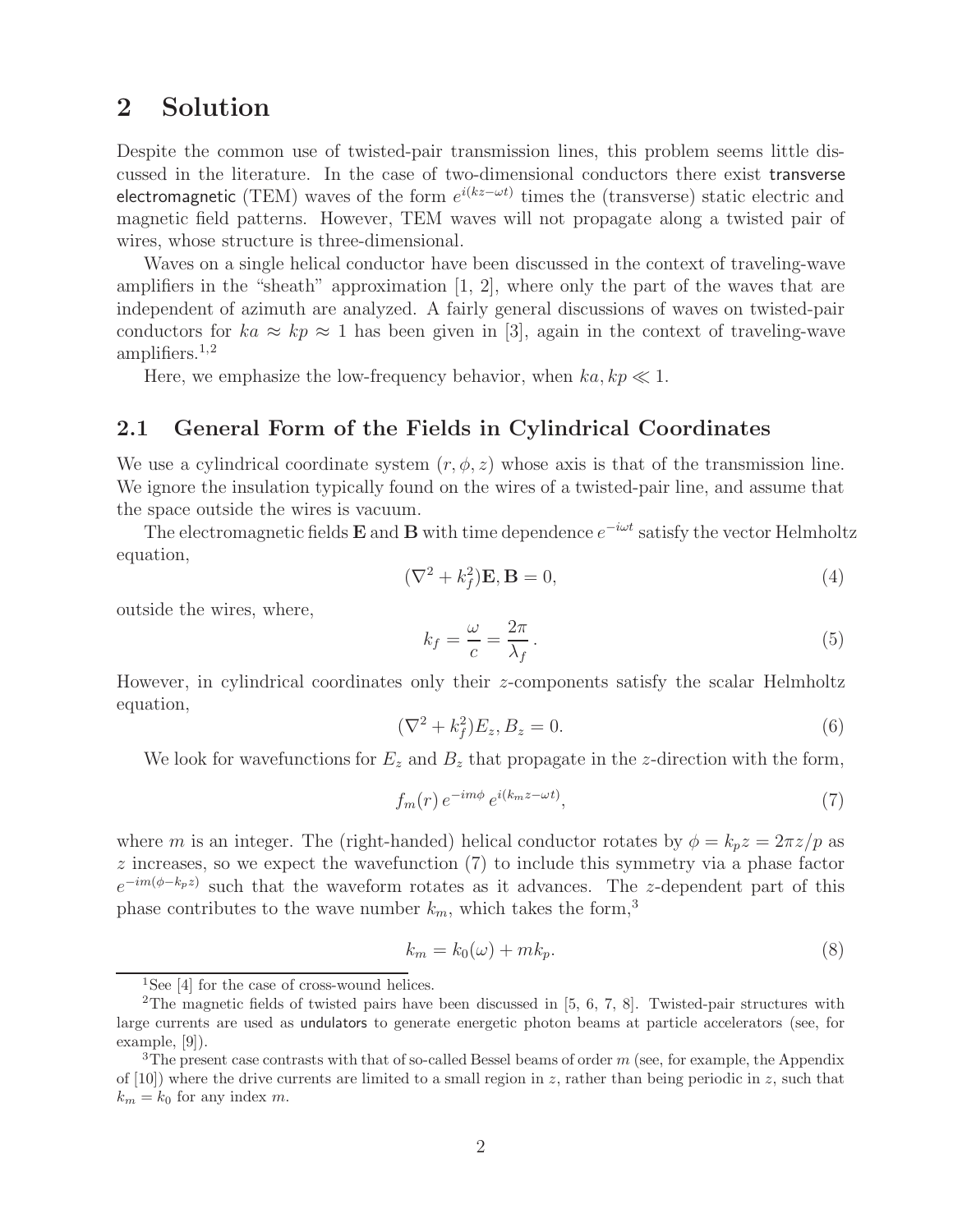### **2 Solution**

Despite the common use of twisted-pair transmission lines, this problem seems little discussed in the literature. In the case of two-dimensional conductors there exist transverse electromagnetic (TEM) waves of the form  $e^{i(kz-\omega t)}$  times the (transverse) static electric and magnetic field patterns. However, TEM waves will not propagate along a twisted pair of wires, whose structure is three-dimensional.

Waves on a single helical conductor have been discussed in the context of traveling-wave amplifiers in the "sheath" approximation [1, 2], where only the part of the waves that are independent of azimuth are analyzed. A fairly general discussions of waves on twisted-pair conductors for  $ka \approx kp \approx 1$  has been given in [3], again in the context of traveling-wave amplifiers. $1,2$ 

Here, we emphasize the low-frequency behavior, when  $ka$ ,  $kp \ll 1$ .

#### **2.1 General Form of the Fields in Cylindrical Coordinates**

We use a cylindrical coordinate system  $(r, \phi, z)$  whose axis is that of the transmission line. We ignore the insulation typically found on the wires of a twisted-pair line, and assume that the space outside the wires is vacuum.

The electromagnetic fields **E** and **B** with time dependence  $e^{-i\omega t}$  satisfy the vector Helmholtz equation,

$$
(\nabla^2 + k_f^2)\mathbf{E}, \mathbf{B} = 0,
$$
\n(4)

outside the wires, where,

$$
k_f = \frac{\omega}{c} = \frac{2\pi}{\lambda_f}.
$$
\n<sup>(5)</sup>

However, in cylindrical coordinates only their z-components satisfy the scalar Helmholtz equation,

$$
(\nabla^2 + k_f^2) E_z, B_z = 0.
$$
 (6)

We look for wavefunctions for  $E_z$  and  $B_z$  that propagate in the z-direction with the form,

$$
f_m(r) e^{-im\phi} e^{i(k_m z - \omega t)}, \tag{7}
$$

where m is an integer. The (right-handed) helical conductor rotates by  $\phi = k_p z = 2\pi z/p$  as  $z$  increases, so we expect the wavefunction  $(7)$  to include this symmetry via a phase factor  $e^{-im(\phi-k_pz)}$  such that the waveform rotates as it advances. The z-dependent part of this phase contributes to the wave number  $k_m$ , which takes the form,<sup>3</sup>

$$
k_m = k_0(\omega) + mk_p. \tag{8}
$$

<sup>&</sup>lt;sup>1</sup>See [4] for the case of cross-wound helices.

<sup>&</sup>lt;sup>2</sup>The magnetic fields of twisted pairs have been discussed in  $[5, 6, 7, 8]$ . Twisted-pair structures with large currents are used as undulators to generate energetic photon beams at particle accelerators (see, for example, [9]).

<sup>&</sup>lt;sup>3</sup>The present case contrasts with that of so-called Bessel beams of order *m* (see, for example, the Appendix of  $[10]$ ) where the drive currents are limited to a small region in *z*, rather than being periodic in *z*, such that  $k_m = k_0$  for any index *m*.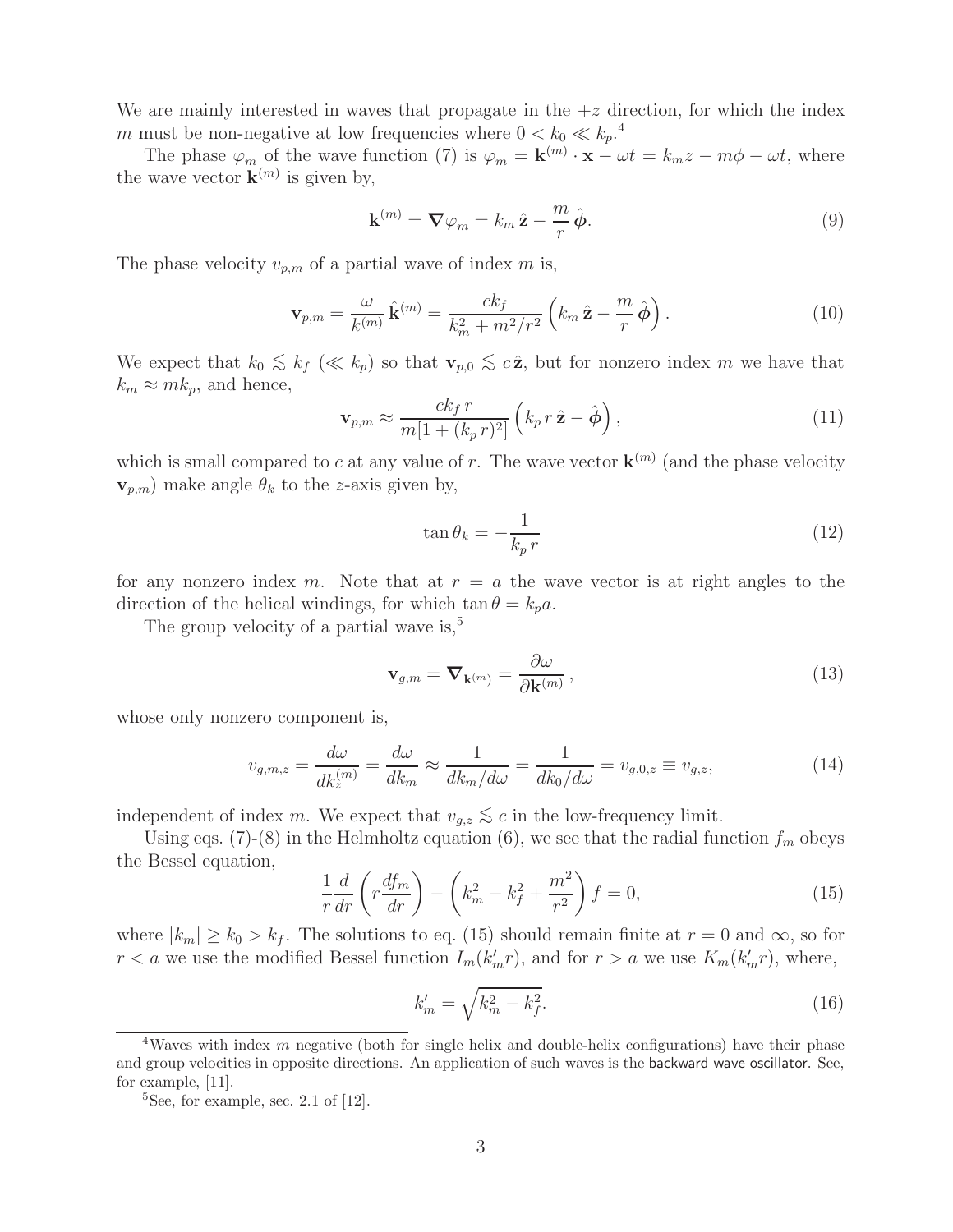We are mainly interested in waves that propagate in the  $+z$  direction, for which the index m must be non-negative at low frequencies where  $0 < k_0 \ll k_p$ .<sup>4</sup>

The phase  $\varphi_m$  of the wave function (7) is  $\varphi_m = \mathbf{k}^{(m)} \cdot \mathbf{x} - \omega t = k_m z - m\phi - \omega t$ , where the wave vector  $\mathbf{k}^{(m)}$  is given by,

$$
\mathbf{k}^{(m)} = \nabla \varphi_m = k_m \,\hat{\mathbf{z}} - \frac{m}{r} \,\hat{\boldsymbol{\phi}}.\tag{9}
$$

The phase velocity  $v_{p,m}$  of a partial wave of index m is,

$$
\mathbf{v}_{p,m} = \frac{\omega}{k^{(m)}} \hat{\mathbf{k}}^{(m)} = \frac{ck_f}{k_m^2 + m^2/r^2} \left( k_m \hat{\mathbf{z}} - \frac{m}{r} \hat{\boldsymbol{\phi}} \right).
$$
 (10)

We expect that  $k_0 \lesssim k_f \ll k_p$  so that  $\mathbf{v}_{p,0} \lesssim c\hat{\mathbf{z}}$ , but for nonzero index m we have that  $k_m \approx m k_p$ , and hence,

$$
\mathbf{v}_{p,m} \approx \frac{ck_f r}{m[1 + (k_p r)^2]} \left( k_p r \hat{\mathbf{z}} - \hat{\boldsymbol{\phi}} \right), \qquad (11)
$$

which is small compared to c at any value of r. The wave vector  $\mathbf{k}^{(m)}$  (and the phase velocity  $\mathbf{v}_{p,m}$ ) make angle  $\theta_k$  to the *z*-axis given by,

$$
\tan \theta_k = -\frac{1}{k_p r} \tag{12}
$$

for any nonzero index m. Note that at  $r = a$  the wave vector is at right angles to the direction of the helical windings, for which  $\tan \theta = k_p a$ .

The group velocity of a partial wave is,<sup>5</sup>

$$
\mathbf{v}_{g,m} = \nabla_{\mathbf{k}^{(m)}} = \frac{\partial \omega}{\partial \mathbf{k}^{(m)}},\tag{13}
$$

whose only nonzero component is,

$$
v_{g,m,z} = \frac{d\omega}{dk_z^{(m)}} = \frac{d\omega}{dk_m} \approx \frac{1}{dk_m/d\omega} = \frac{1}{dk_0/d\omega} = v_{g,0,z} \equiv v_{g,z},\tag{14}
$$

independent of index m. We expect that  $v_{g,z} \lesssim c$  in the low-frequency limit.

Using eqs. (7)-(8) in the Helmholtz equation (6), we see that the radial function  $f_m$  obeys the Bessel equation,

$$
\frac{1}{r}\frac{d}{dr}\left(r\frac{df_m}{dr}\right) - \left(k_m^2 - k_f^2 + \frac{m^2}{r^2}\right)f = 0,\tag{15}
$$

where  $|k_m| \ge k_0 > k_f$ . The solutions to eq. (15) should remain finite at  $r = 0$  and  $\infty$ , so for  $r < a$  we use the modified Bessel function  $I_m(k'_mr)$ , and for  $r > a$  we use  $K_m(k'_mr)$ , where,

$$
k'_m = \sqrt{k_m^2 - k_f^2}.\tag{16}
$$

<sup>&</sup>lt;sup>4</sup>Waves with index *m* negative (both for single helix and double-helix configurations) have their phase and group velocities in opposite directions. An application of such waves is the backward wave oscillator. See, for example, [11].

<sup>&</sup>lt;sup>5</sup>See, for example, sec. 2.1 of  $[12]$ .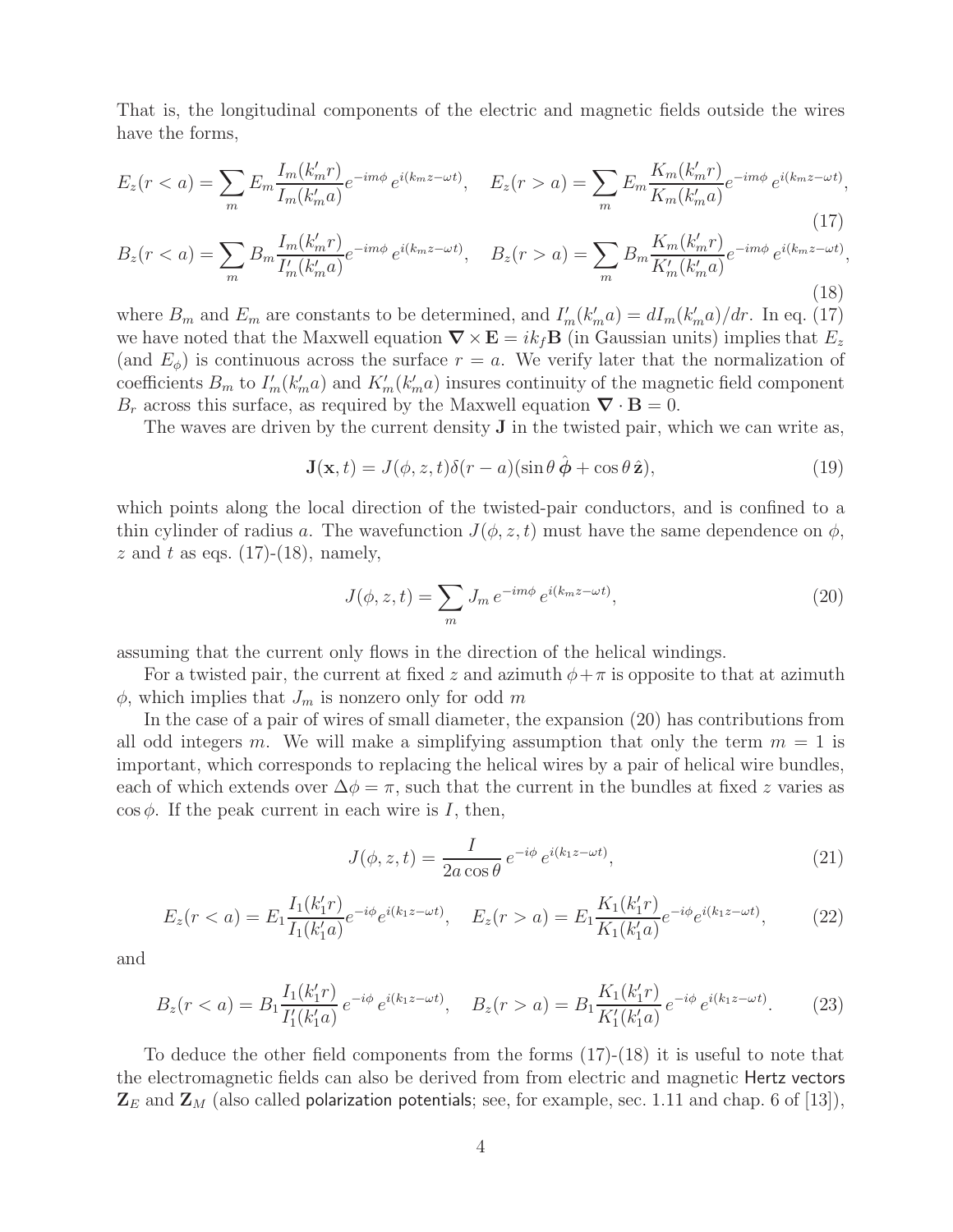That is, the longitudinal components of the electric and magnetic fields outside the wires have the forms,

$$
E_z(r < a) = \sum_m E_m \frac{I_m(k'_m r)}{I_m(k'_m a)} e^{-im\phi} e^{i(k_m z - \omega t)}, \quad E_z(r > a) = \sum_m E_m \frac{K_m(k'_m r)}{K_m(k'_m a)} e^{-im\phi} e^{i(k_m z - \omega t)},\tag{17}
$$

$$
B_z(r < a) = \sum_{m} B_m \frac{I_m(k'_m r)}{I'_m(k'_m a)} e^{-im\phi} e^{i(k_m z - \omega t)}, \quad B_z(r > a) = \sum_{m} B_m \frac{K_m(k'_m r)}{K'_m(k'_m a)} e^{-im\phi} e^{i(k_m z - \omega t)},
$$
\n(18)

where  $B_m$  and  $E_m$  are constants to be determined, and  $I'_m(k'_ma) = dI_m(k'_ma)/dr$ . In eq. (17) we have noted that the Maxwell equation  $\nabla \times \mathbf{E} = ik_f \mathbf{B}$  (in Gaussian units) implies that  $E_z$ (and  $E_{\phi}$ ) is continuous across the surface  $r = a$ . We verify later that the normalization of coefficients  $B_m$  to  $I'_m(k'_ma)$  and  $K'_m(k'_ma)$  insures continuity of the magnetic field component  $B_n$  across this surface as required by the Maywell countion  $\nabla \cdot \mathbf{B} = 0$  $B_r$  across this surface, as required by the Maxwell equation  $\nabla \cdot \mathbf{B} = 0$ .

The waves are driven by the current density **J** in the twisted pair, which we can write as,

$$
\mathbf{J}(\mathbf{x},t) = J(\phi, z, t)\delta(r - a)(\sin\theta \,\hat{\boldsymbol{\phi}} + \cos\theta \,\hat{\mathbf{z}}),\tag{19}
$$

which points along the local direction of the twisted-pair conductors, and is confined to a thin cylinder of radius a. The wavefunction  $J(\phi, z, t)$  must have the same dependence on  $\phi$ , z and t as eqs.  $(17)-(18)$ , namely,

$$
J(\phi, z, t) = \sum_{m} J_m e^{-im\phi} e^{i(k_m z - \omega t)}, \qquad (20)
$$

assuming that the current only flows in the direction of the helical windings.

For a twisted pair, the current at fixed z and azimuth  $\phi + \pi$  is opposite to that at azimuth  $\phi$ , which implies that  $J_m$  is nonzero only for odd m

In the case of a pair of wires of small diameter, the expansion (20) has contributions from all odd integers m. We will make a simplifying assumption that only the term  $m = 1$  is important, which corresponds to replacing the helical wires by a pair of helical wire bundles, each of which extends over  $\Delta \phi = \pi$ , such that the current in the bundles at fixed z varies as  $\cos \phi$ . If the peak current in each wire is I, then,

$$
J(\phi, z, t) = \frac{I}{2a \cos \theta} e^{-i\phi} e^{i(k_1 z - \omega t)},
$$
\n(21)

$$
E_z(r < a) = E_1 \frac{I_1(k_1' r)}{I_1(k_1' a)} e^{-i\phi} e^{i(k_1 z - \omega t)}, \quad E_z(r > a) = E_1 \frac{K_1(k_1' r)}{K_1(k_1' a)} e^{-i\phi} e^{i(k_1 z - \omega t)},\tag{22}
$$

and

$$
B_z(r < a) = B_1 \frac{I_1(k'_1 r)}{I'_1(k'_1 a)} e^{-i\phi} e^{i(k_1 z - \omega t)}, \quad B_z(r > a) = B_1 \frac{K_1(k'_1 r)}{K'_1(k'_1 a)} e^{-i\phi} e^{i(k_1 z - \omega t)}.
$$
 (23)

To deduce the other field components from the forms  $(17)-(18)$  it is useful to note that the electromagnetic fields can also be derived from from electric and magnetic Hertz vectors  $\mathbf{Z}_E$  and  $\mathbf{Z}_M$  (also called polarization potentials; see, for example, sec. 1.11 and chap. 6 of [13]),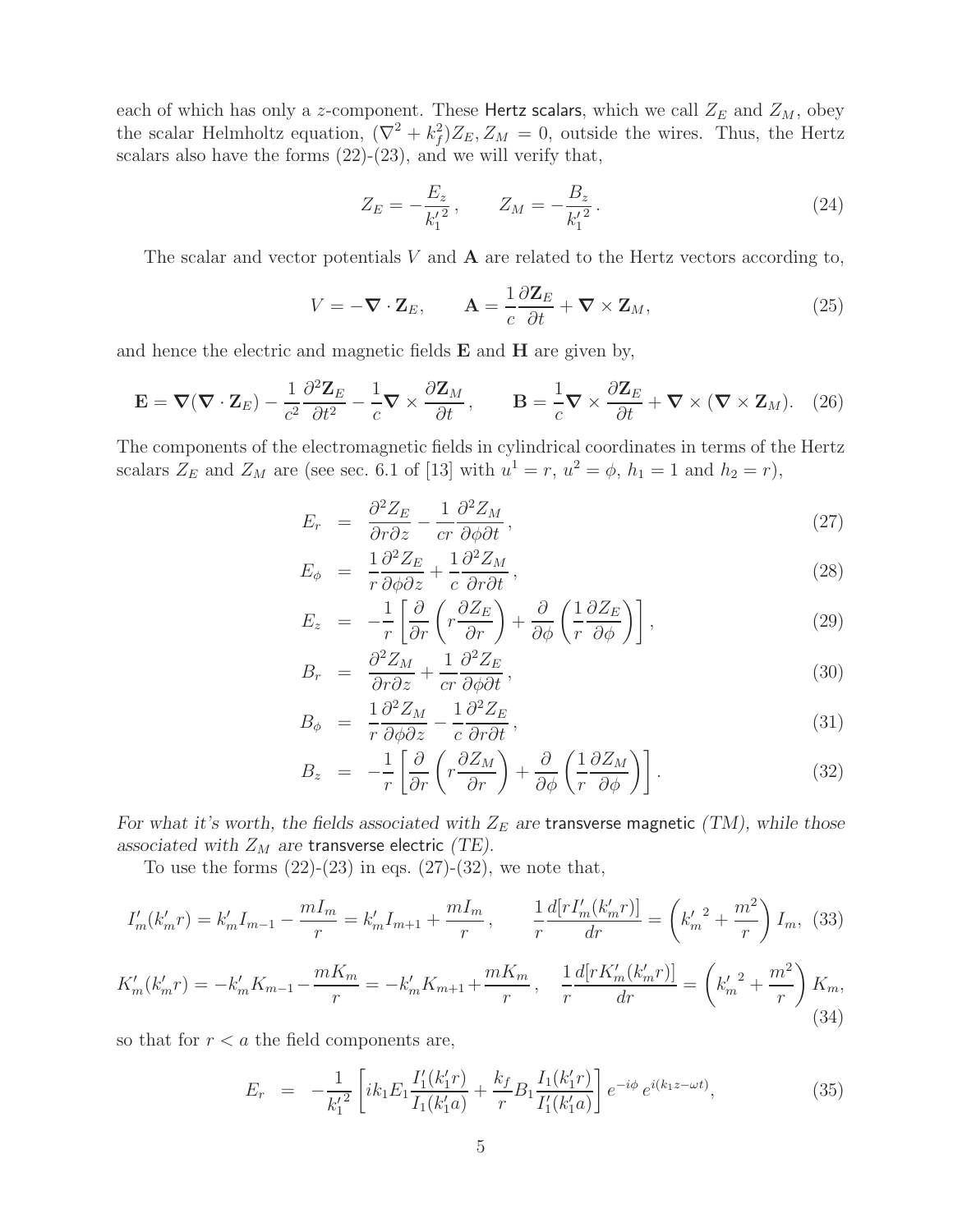each of which has only a z-component. These Hertz scalars, which we call  $Z_E$  and  $Z_M$ , obey the scalar Helmholtz equation,  $(\nabla^2 + k_f^2)Z_E, Z_M = 0$ , outside the wires. Thus, the Hertz<br>scalars also have the forms (22) (23) and we will write that scalars also have the forms  $(22)-(23)$ , and we will verify that,

$$
Z_E = -\frac{E_z}{k_1^2}, \qquad Z_M = -\frac{B_z}{k_1^2}.
$$
\n(24)

The scalar and vector potentials V and **A** are related to the Hertz vectors according to,

$$
V = -\nabla \cdot \mathbf{Z}_E, \qquad \mathbf{A} = \frac{1}{c} \frac{\partial \mathbf{Z}_E}{\partial t} + \nabla \times \mathbf{Z}_M,
$$
 (25)

and hence the electric and magnetic fields **E** and **H** are given by,

$$
\mathbf{E} = \nabla(\nabla \cdot \mathbf{Z}_E) - \frac{1}{c^2} \frac{\partial^2 \mathbf{Z}_E}{\partial t^2} - \frac{1}{c} \nabla \times \frac{\partial \mathbf{Z}_M}{\partial t}, \qquad \mathbf{B} = \frac{1}{c} \nabla \times \frac{\partial \mathbf{Z}_E}{\partial t} + \nabla \times (\nabla \times \mathbf{Z}_M). \tag{26}
$$

The components of the electromagnetic fields in cylindrical coordinates in terms of the Hertz scalars  $Z_E$  and  $Z_M$  are (see sec. 6.1 of [13] with  $u^1 = r$ ,  $u^2 = \phi$ ,  $h_1 = 1$  and  $h_2 = r$ ),

$$
E_r = \frac{\partial^2 Z_E}{\partial r \partial z} - \frac{1}{cr} \frac{\partial^2 Z_M}{\partial \phi \partial t}, \qquad (27)
$$

$$
E_{\phi} = \frac{1}{r} \frac{\partial^2 Z_E}{\partial \phi \partial z} + \frac{1}{c} \frac{\partial^2 Z_M}{\partial r \partial t},
$$
\n(28)

$$
E_z = -\frac{1}{r} \left[ \frac{\partial}{\partial r} \left( r \frac{\partial Z_E}{\partial r} \right) + \frac{\partial}{\partial \phi} \left( \frac{1}{r} \frac{\partial Z_E}{\partial \phi} \right) \right],
$$
(29)

$$
B_r = \frac{\partial^2 Z_M}{\partial r \partial z} + \frac{1}{cr} \frac{\partial^2 Z_E}{\partial \phi \partial t}, \qquad (30)
$$

$$
B_{\phi} = \frac{1}{r} \frac{\partial^2 Z_M}{\partial \phi \partial z} - \frac{1}{c} \frac{\partial^2 Z_E}{\partial r \partial t},\tag{31}
$$

$$
B_z = -\frac{1}{r} \left[ \frac{\partial}{\partial r} \left( r \frac{\partial Z_M}{\partial r} \right) + \frac{\partial}{\partial \phi} \left( \frac{1}{r} \frac{\partial Z_M}{\partial \phi} \right) \right]. \tag{32}
$$

*For what it's worth, the fields associated with*  $Z_E$  *are* transverse magnetic *(TM), while those* associated with  $Z_M$  are transverse electric *(TE)*.

To use the forms  $(22)-(23)$  in eqs.  $(27)-(32)$ , we note that,

$$
I'_{m}(k'_{m}r) = k'_{m}I_{m-1} - \frac{mI_{m}}{r} = k'_{m}I_{m+1} + \frac{mI_{m}}{r}, \qquad \frac{1}{r}\frac{d[rI'_{m}(k'_{m}r)]}{dr} = \left(k'_{m}^{2} + \frac{m^{2}}{r}\right)I_{m},
$$
(33)  

$$
I'_{m}(k'_{m}) = k'K - \frac{mK_{m}}{r} = k'_{m}I_{m+1} + \frac{mI_{m}}{r}, \qquad \frac{1}{r}\frac{d[rK'_{m}(k'_{m}r)]}{dr} = \left(k'_{m}^{2} + \frac{m^{2}}{r}\right)I_{m},
$$

$$
K'_{m}(k'_{m}r) = -k'_{m}K_{m-1} - \frac{mK_{m}}{r} = -k'_{m}K_{m+1} + \frac{mK_{m}}{r}, \quad \frac{1}{r}\frac{d[rK'_{m}(k'_{m}r)]}{dr} = \left(k'_{m}^{2} + \frac{m^{2}}{r}\right)K_{m},\tag{34}
$$

so that for  $r < a$  the field components are,

$$
E_r = -\frac{1}{k_1^2} \left[ i k_1 E_1 \frac{I_1'(k_1' r)}{I_1(k_1' a)} + \frac{k_f}{r} B_1 \frac{I_1(k_1' r)}{I_1'(k_1' a)} \right] e^{-i\phi} e^{i(k_1 z - \omega t)}, \tag{35}
$$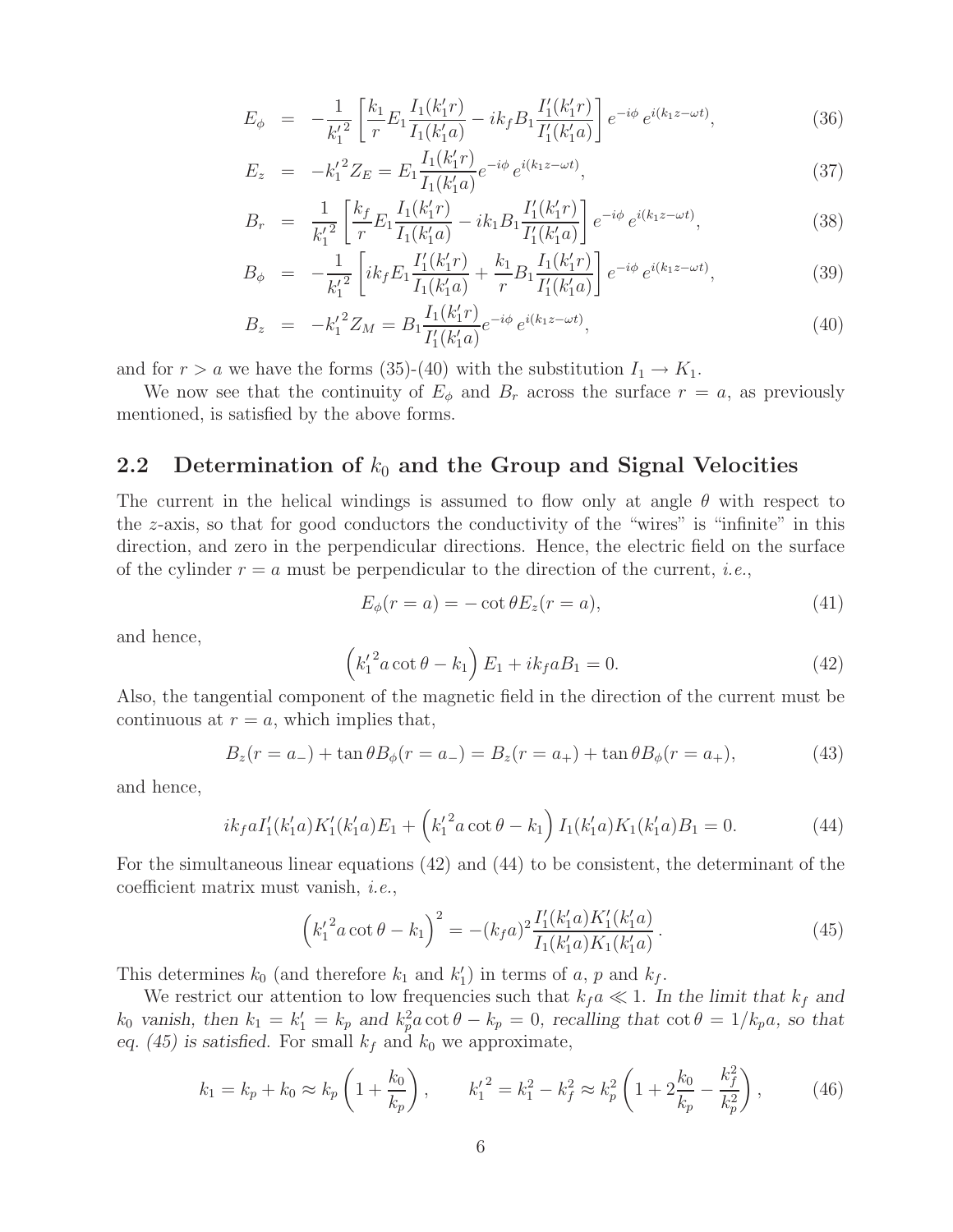$$
E_{\phi} = -\frac{1}{k_1^{\prime 2}} \left[ \frac{k_1}{r} E_1 \frac{I_1(k_1^{\prime}r)}{I_1(k_1^{\prime}a)} - ik_f B_1 \frac{I_1^{\prime}(k_1^{\prime}r)}{I_1^{\prime}(k_1^{\prime}a)} \right] e^{-i\phi} e^{i(k_1 z - \omega t)}, \tag{36}
$$

$$
E_z = -k_1'^2 Z_E = E_1 \frac{I_1(k_1' r)}{I_1(k_1' a)} e^{-i\phi} e^{i(k_1 z - \omega t)},
$$
\n(37)

$$
B_r = \frac{1}{k_1^2} \left[ \frac{k_f}{r} E_1 \frac{I_1(k_1' r)}{I_1(k_1' a)} - ik_1 B_1 \frac{I_1'(k_1' r)}{I_1'(k_1' a)} \right] e^{-i\phi} e^{i(k_1 z - \omega t)}, \tag{38}
$$

$$
B_{\phi} = -\frac{1}{k_1^{\prime 2}} \left[ i k_f E_1 \frac{I_1'(k_1' r)}{I_1(k_1' a)} + \frac{k_1}{r} B_1 \frac{I_1(k_1' r)}{I_1'(k_1' a)} \right] e^{-i\phi} e^{i(k_1 z - \omega t)}, \tag{39}
$$

$$
B_z = -k_1'^2 Z_M = B_1 \frac{I_1(k_1' r)}{I_1'(k_1' a)} e^{-i\phi} e^{i(k_1 z - \omega t)}, \tag{40}
$$

and for  $r > a$  we have the forms (35)-(40) with the substitution  $I_1 \rightarrow K_1$ .

We now see that the continuity of  $E_{\phi}$  and  $B_r$  across the surface  $r = a$ , as previously mentioned, is satisfied by the above forms.

### 2.2 Determination of  $k_0$  and the Group and Signal Velocities

The current in the helical windings is assumed to flow only at angle  $\theta$  with respect to the z-axis, so that for good conductors the conductivity of the "wires" is "infinite" in this direction, and zero in the perpendicular directions. Hence, the electric field on the surface of the cylinder  $r = a$  must be perpendicular to the direction of the current, *i.e.*,

$$
E_{\phi}(r=a) = -\cot\theta E_z(r=a),\tag{41}
$$

and hence,

$$
(k_1'^2 a \cot \theta - k_1) E_1 + ik_f a B_1 = 0.
$$
 (42)

Also, the tangential component of the magnetic field in the direction of the current must be continuous at  $r = a$ , which implies that,

$$
B_z(r = a_-) + \tan \theta B_{\phi}(r = a_-) = B_z(r = a_+) + \tan \theta B_{\phi}(r = a_+), \tag{43}
$$

and hence,

$$
ik_f a I'_1(k'_1 a) K'_1(k'_1 a) E_1 + \left(k'_1{}^2 a \cot \theta - k_1\right) I_1(k'_1 a) K_1(k'_1 a) B_1 = 0. \tag{44}
$$

For the simultaneous linear equations (42) and (44) to be consistent, the determinant of the coefficient matrix must vanish, *i.e.*,

$$
\left(k_1^{'2}a\cot\theta - k_1\right)^2 = -(k_f a)^2 \frac{I_1'(k_1' a) K_1'(k_1' a)}{I_1(k_1' a) K_1(k_1' a)}.
$$
\n(45)

This determines  $k_0$  (and therefore  $k_1$  and  $k'_1$ ) in terms of a, p and  $k_f$ .<br>We restrict our attention to low frequencies such that  $k_0 \ll 1$ .

We restrict our attention to low frequencies such that  $k_f a \ll 1$ . In the limit that  $k_f$  and  $k_0$  vanish, then  $k_1 = k'_1 = k_p$  and  $k_p^2 a \cot \theta - k_p = 0$ , recalling that  $\cot \theta = 1/k_p a$ , so that *eq.* (45) is satisfied. For small  $k_f$  and  $k_0$  we approximate,

$$
k_1 = k_p + k_0 \approx k_p \left( 1 + \frac{k_0}{k_p} \right), \qquad k_1^{\prime \, 2} = k_1^2 - k_f^2 \approx k_p^2 \left( 1 + 2 \frac{k_0}{k_p} - \frac{k_f^2}{k_p^2} \right), \tag{46}
$$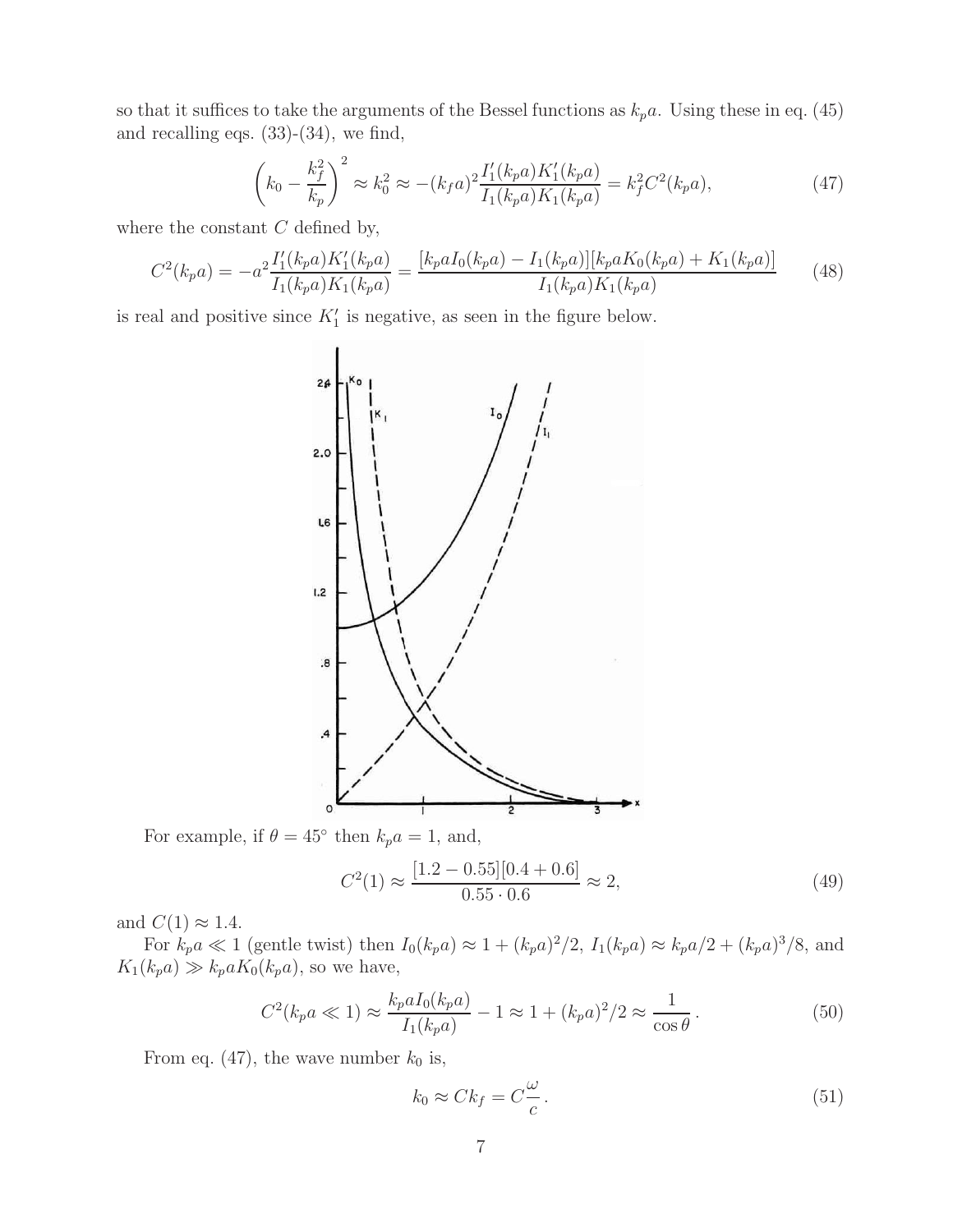so that it suffices to take the arguments of the Bessel functions as  $k_p a$ . Using these in eq. (45) and recalling eqs. (33)-(34), we find,

$$
\left(k_0 - \frac{k_f^2}{k_p}\right)^2 \approx k_0^2 \approx -(k_f a)^2 \frac{I_1'(k_p a) K_1'(k_p a)}{I_1(k_p a) K_1(k_p a)} = k_f^2 C^2(k_p a),\tag{47}
$$

where the constant  $C$  defined by,

$$
C^{2}(k_{p}a) = -a^{2} \frac{I_{1}'(k_{p}a)K_{1}'(k_{p}a)}{I_{1}(k_{p}a)K_{1}(k_{p}a)} = \frac{[k_{p}aI_{0}(k_{p}a) - I_{1}(k_{p}a)][k_{p}aK_{0}(k_{p}a) + K_{1}(k_{p}a)]}{I_{1}(k_{p}a)K_{1}(k_{p}a)}
$$
(48)

is real and positive since  $K'_1$  is negative, as seen in the figure below.



For example, if  $\theta = 45^{\circ}$  then  $k_{p}a = 1$ , and,

$$
C^{2}(1) \approx \frac{[1.2 - 0.55][0.4 + 0.6]}{0.55 \cdot 0.6} \approx 2,
$$
\n(49)

and  $C(1) \approx 1.4$ .

For  $k_pa\ll 1$  (gentle twist) then  $I_0(k_pa)\approx 1+(k_pa)^2/2$ ,  $I_1(k_pa)\approx k_pa/2+(k_pa)^3/8$ , and  $K_1(k_pa) \gg k_paK_0(k_pa)$ , so we have,

$$
C^2(k_pa\ll 1)\approx \frac{k_paI_0(k_pa)}{I_1(k_pa)}-1\approx 1+(k_pa)^2/2\approx \frac{1}{\cos\theta}.
$$
\n
$$
(50)
$$

From eq. (47), the wave number  $k_0$  is,

$$
k_0 \approx C k_f = C \frac{\omega}{c} \,. \tag{51}
$$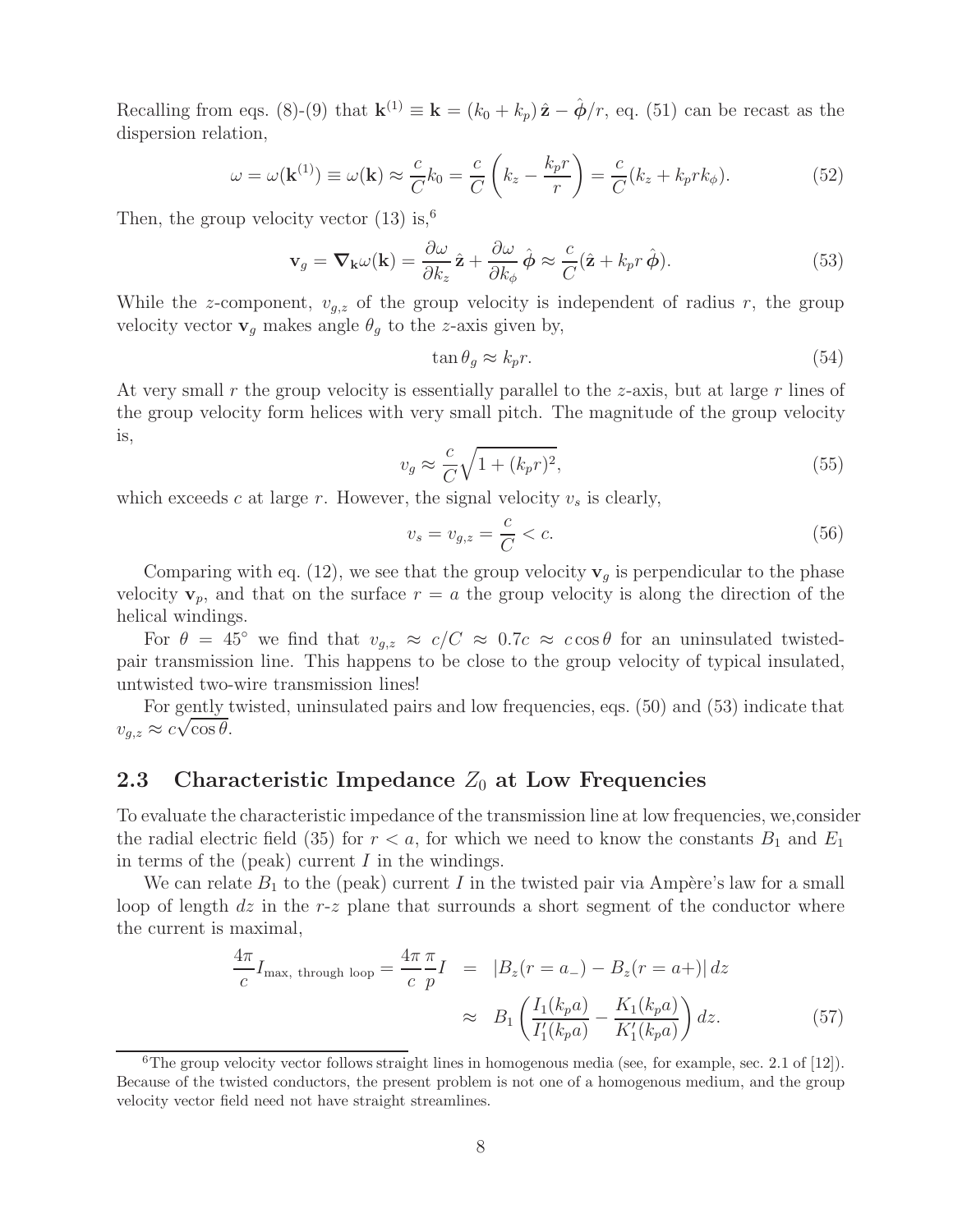Recalling from eqs. (8)-(9) that  $\mathbf{k}^{(1)} \equiv \mathbf{k} = (k_0 + k_p) \hat{\mathbf{z}} - \hat{\phi}/r$ , eq. (51) can be recast as the dispersion relation,

$$
\omega = \omega(\mathbf{k}^{(1)}) \equiv \omega(\mathbf{k}) \approx \frac{c}{C} k_0 = \frac{c}{C} \left( k_z - \frac{k_p r}{r} \right) = \frac{c}{C} (k_z + k_p r k_\phi).
$$
 (52)

Then, the group velocity vector  $(13)$  is,<sup>6</sup>

$$
\mathbf{v}_g = \nabla_{\mathbf{k}} \omega(\mathbf{k}) = \frac{\partial \omega}{\partial k_z} \hat{\mathbf{z}} + \frac{\partial \omega}{\partial k_\phi} \hat{\boldsymbol{\phi}} \approx \frac{c}{C} (\hat{\mathbf{z}} + k_p r \hat{\boldsymbol{\phi}}).
$$
(53)

While the z-component,  $v_{g,z}$  of the group velocity is independent of radius r, the group velocity vector **v**<sub>g</sub> makes angle  $\theta_g$  to the z-axis given by,

$$
\tan \theta_g \approx k_p r. \tag{54}
$$

At very small r the group velocity is essentially parallel to the z-axis, but at large r lines of the group velocity form helices with very small pitch. The magnitude of the group velocity is,

$$
v_g \approx \frac{c}{C} \sqrt{1 + (k_p r)^2},\tag{55}
$$

which exceeds c at large r. However, the signal velocity  $v_s$  is clearly,

$$
v_s = v_{g,z} = \frac{c}{C} < c. \tag{56}
$$

Comparing with eq. (12), we see that the group velocity  $v<sub>q</sub>$  is perpendicular to the phase velocity  $\mathbf{v}_p$ , and that on the surface  $r = a$  the group velocity is along the direction of the helical windings.

For  $\theta = 45^{\circ}$  we find that  $v_{g,z} \approx c/C \approx 0.7c \approx c \cos \theta$  for an uninsulated twistedpair transmission line. This happens to be close to the group velocity of typical insulated, untwisted two-wire transmission lines!

For gently twisted, uninsulated pairs and low frequencies, eqs. (50) and (53) indicate that  $v_{g,z} \approx c\sqrt{\cos\theta}$ .

### 2.3 Characteristic Impedance  $Z_0$  at Low Frequencies

To evaluate the characteristic impedance of the transmission line at low frequencies, we,consider the radial electric field (35) for  $r < a$ , for which we need to know the constants  $B_1$  and  $E_1$ in terms of the (peak) current  $I$  in the windings.

We can relate  $B_1$  to the (peak) current I in the twisted pair via Ampère's law for a small loop of length  $dz$  in the r-z plane that surrounds a short segment of the conductor where the current is maximal,

$$
\frac{4\pi}{c}I_{\text{max, through loop}} = \frac{4\pi}{c} \frac{\pi}{p} I = |B_z(r = a_-) - B_z(r = a_+)| dz
$$
\n
$$
\approx B_1 \left( \frac{I_1(k_p a)}{I'_1(k_p a)} - \frac{K_1(k_p a)}{K'_1(k_p a)} \right) dz.
$$
\n(57)

<sup>&</sup>lt;sup>6</sup>The group velocity vector follows straight lines in homogenous media (see, for example, sec. 2.1 of [12]). Because of the twisted conductors, the present problem is not one of a homogenous medium, and the group velocity vector field need not have straight streamlines.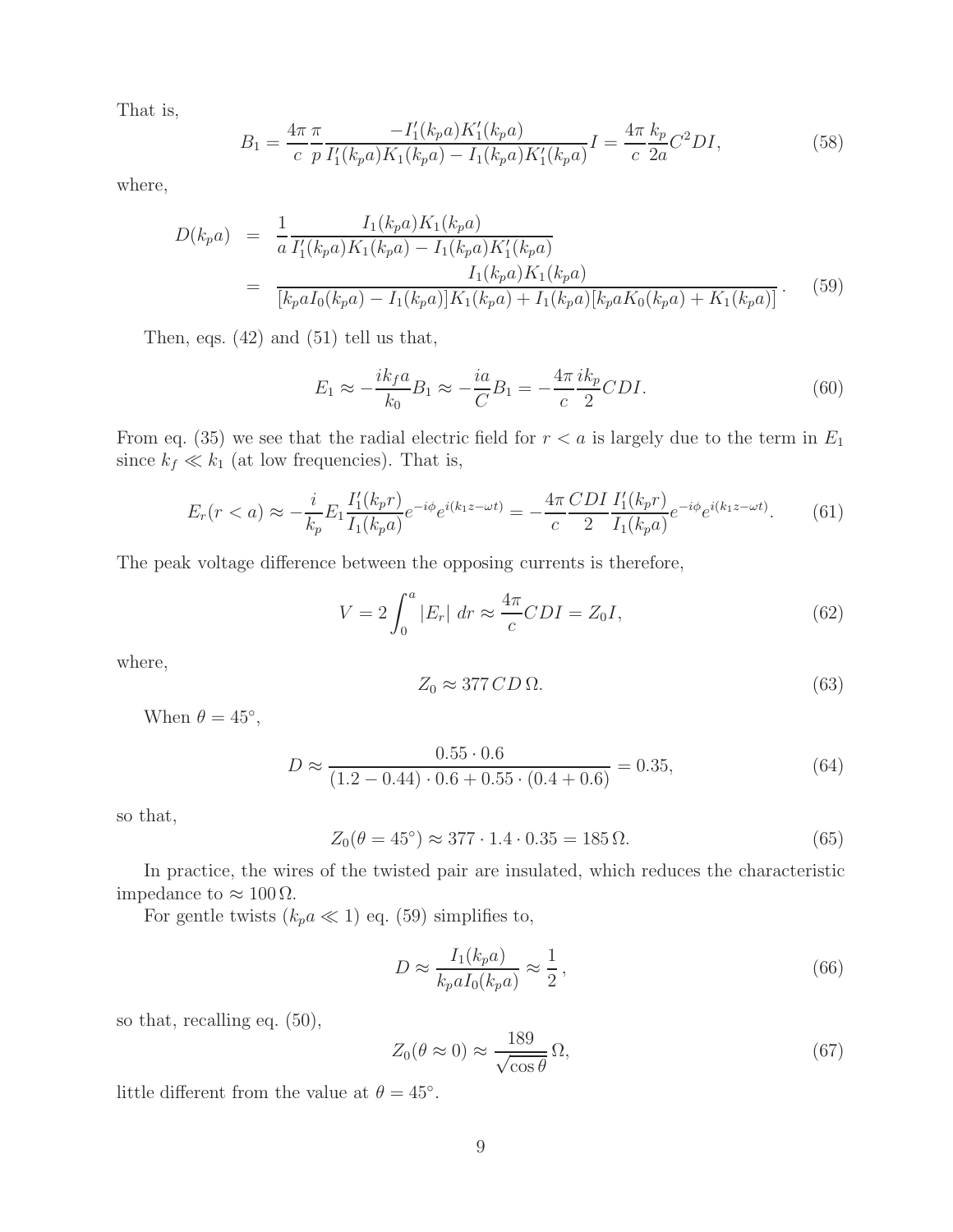That is,

$$
B_1 = \frac{4\pi}{c} \frac{\pi}{p} \frac{-I'_1(k_p a) K'_1(k_p a)}{I'_1(k_p a) K_1(k_p a) - I_1(k_p a) K'_1(k_p a)} I = \frac{4\pi}{c} \frac{k_p}{2a} C^2 D I,\tag{58}
$$

where,

$$
D(k_p a) = \frac{1}{a} \frac{I_1(k_p a) K_1(k_p a)}{I'_1(k_p a) K_1(k_p a) - I_1(k_p a) K'_1(k_p a)}
$$
  
= 
$$
\frac{I_1(k_p a) K_1(k_p a)}{[k_p a I_0(k_p a) - I_1(k_p a)] K_1(k_p a) + I_1(k_p a)[k_p a K_0(k_p a) + K_1(k_p a)]}.
$$
(59)

Then, eqs. (42) and (51) tell us that,

$$
E_1 \approx -\frac{ik_f a}{k_0} B_1 \approx -\frac{ia}{C} B_1 = -\frac{4\pi}{c} \frac{ik_p}{2} CDI.
$$
\n
$$
(60)
$$

From eq. (35) we see that the radial electric field for  $r < a$  is largely due to the term in  $E_1$ since  $k_f \ll k_1$  (at low frequencies). That is,

$$
E_r(r < a) \approx -\frac{i}{k_p} E_1 \frac{I_1'(k_p r)}{I_1(k_p a)} e^{-i\phi} e^{i(k_1 z - \omega t)} = -\frac{4\pi}{c} \frac{CDI}{2} \frac{I_1'(k_p r)}{I_1(k_p a)} e^{-i\phi} e^{i(k_1 z - \omega t)}.\tag{61}
$$

The peak voltage difference between the opposing currents is therefore,

$$
V = 2 \int_0^a |E_r| \, dr \approx \frac{4\pi}{c} CDI = Z_0 I,\tag{62}
$$

where,

$$
Z_0 \approx 377 \, CD \, \Omega. \tag{63}
$$

When  $\theta = 45^{\circ}$ ,

$$
D \approx \frac{0.55 \cdot 0.6}{(1.2 - 0.44) \cdot 0.6 + 0.55 \cdot (0.4 + 0.6)} = 0.35, \tag{64}
$$

so that,

$$
Z_0(\theta = 45^\circ) \approx 377 \cdot 1.4 \cdot 0.35 = 185 \,\Omega. \tag{65}
$$

In practice, the wires of the twisted pair are insulated, which reduces the characteristic impedance to  $\approx 100 \Omega$ .

For gentle twists  $(k_p a \ll 1)$  eq. (59) simplifies to,

$$
D \approx \frac{I_1(k_p a)}{k_p a I_0(k_p a)} \approx \frac{1}{2},\tag{66}
$$

so that, recalling eq. (50),

$$
Z_0(\theta \approx 0) \approx \frac{189}{\sqrt{\cos \theta}} \Omega,\tag{67}
$$

little different from the value at  $\theta = 45^\circ$ .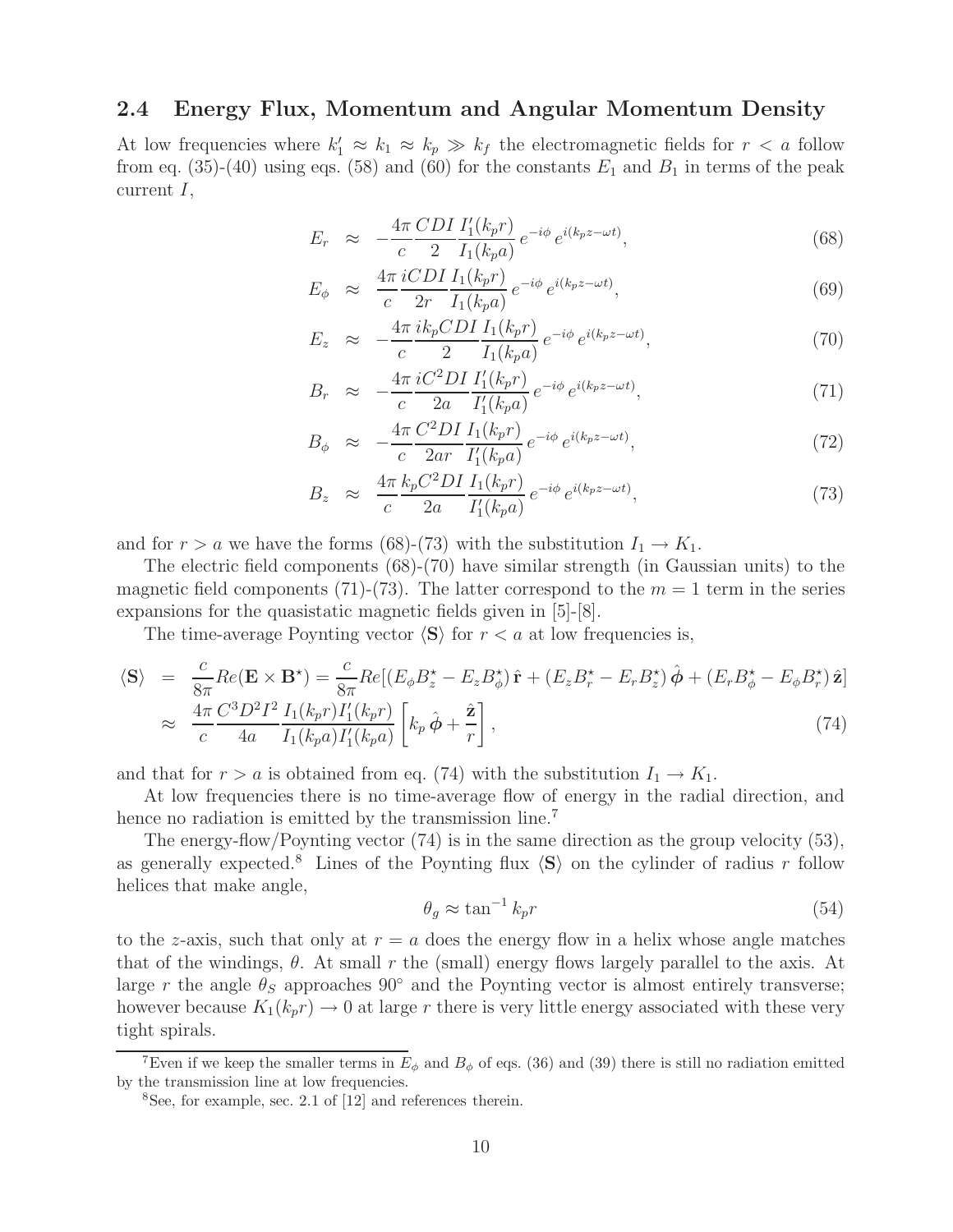#### **2.4 Energy Flux, Momentum and Angular Momentum Density**

At low frequencies where  $k'_1 \approx k_1 \approx k_p \gg k_f$  the electromagnetic fields for  $r < a$  follow<br>from eq. (35) (40) using eqs. (58) and (60) for the constants  $F$  and  $B$  in terms of the pools from eq. (35)-(40) using eqs. (58) and (60) for the constants  $E_1$  and  $B_1$  in terms of the peak current  $I$ ,

$$
E_r \approx -\frac{4\pi}{c} \frac{CDI}{2} \frac{I_1'(k_p r)}{I_1(k_p a)} e^{-i\phi} e^{i(k_p z - \omega t)}, \tag{68}
$$

$$
E_{\phi} \approx \frac{4\pi}{c} \frac{iCDI}{2r} \frac{I_1(k_p r)}{I_1(k_p a)} e^{-i\phi} e^{i(k_p z - \omega t)}, \tag{69}
$$

$$
E_z \approx -\frac{4\pi}{c} \frac{i k_p CDI}{2} \frac{I_1(k_p r)}{I_1(k_p a)} e^{-i\phi} e^{i(k_p z - \omega t)}, \tag{70}
$$

$$
B_r \approx -\frac{4\pi}{c} \frac{iC^2 DI}{2a} \frac{I'_1(k_p r)}{I'_1(k_p a)} e^{-i\phi} e^{i(k_p z - \omega t)}, \tag{71}
$$

$$
B_{\phi} \approx -\frac{4\pi}{c} \frac{C^2 DI}{2ar} \frac{I_1(k_p r)}{I'_1(k_p a)} e^{-i\phi} e^{i(k_p z - \omega t)},\tag{72}
$$

$$
B_z \approx \frac{4\pi}{c} \frac{k_p C^2 DI}{2a} \frac{I_1(k_p r)}{I'_1(k_p a)} e^{-i\phi} e^{i(k_p z - \omega t)}, \tag{73}
$$

and for  $r > a$  we have the forms (68)-(73) with the substitution  $I_1 \rightarrow K_1$ .

The electric field components (68)-(70) have similar strength (in Gaussian units) to the magnetic field components (71)-(73). The latter correspond to the  $m = 1$  term in the series expansions for the quasistatic magnetic fields given in [5]-[8].

The time-average Poynting vector  $\langle S \rangle$  for  $r < a$  at low frequencies is,

$$
\langle \mathbf{S} \rangle = \frac{c}{8\pi} Re(\mathbf{E} \times \mathbf{B}^*) = \frac{c}{8\pi} Re[(E_{\phi} B_z^* - E_z B_{\phi}^*) \hat{\mathbf{r}} + (E_z B_r^* - E_r B_z^*) \hat{\boldsymbol{\phi}} + (E_r B_{\phi}^* - E_{\phi} B_r^*) \hat{\mathbf{z}}]
$$
  
\n
$$
\approx \frac{4\pi}{c} \frac{C^3 D^2 I^2}{4a} \frac{I_1(k_p r) I_1'(k_p r)}{I_1(k_p a) I_1'(k_p a)} \left[ k_p \hat{\boldsymbol{\phi}} + \frac{\hat{\mathbf{z}}}{r} \right],
$$
\n(74)

and that for  $r > a$  is obtained from eq. (74) with the substitution  $I_1 \rightarrow K_1$ .

At low frequencies there is no time-average flow of energy in the radial direction, and hence no radiation is emitted by the transmission line.<sup>7</sup>

The energy-flow/Poynting vector (74) is in the same direction as the group velocity (53), as generally expected.<sup>8</sup> Lines of the Poynting flux  $\langle S \rangle$  on the cylinder of radius r follow helices that make angle,

$$
\theta_g \approx \tan^{-1} k_p r \tag{54}
$$

to the z-axis, such that only at  $r = a$  does the energy flow in a helix whose angle matches that of the windings,  $\theta$ . At small r the (small) energy flows largely parallel to the axis. At large r the angle  $\theta_S$  approaches 90° and the Poynting vector is almost entirely transverse; however because  $K_1(k_p r) \rightarrow 0$  at large r there is very little energy associated with these very tight spirals.

<sup>&</sup>lt;sup>7</sup>Even if we keep the smaller terms in  $E_{\phi}$  and  $B_{\phi}$  of eqs. (36) and (39) there is still no radiation emitted by the transmission line at low frequencies.

<sup>8</sup>See, for example, sec. 2.1 of [12] and references therein.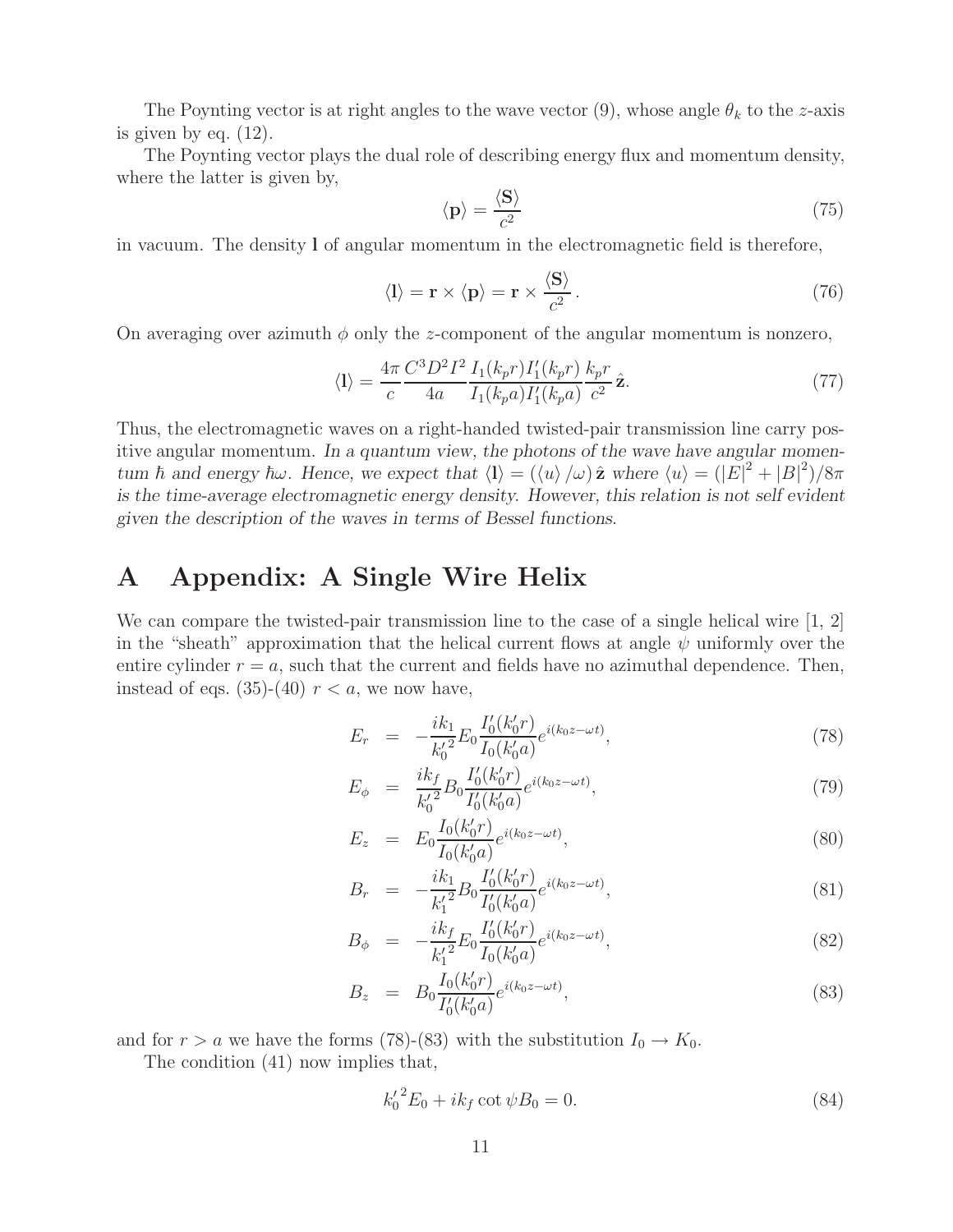The Poynting vector is at right angles to the wave vector (9), whose angle  $\theta_k$  to the z-axis is given by eq. (12).

The Poynting vector plays the dual role of describing energy flux and momentum density, where the latter is given by,

$$
\langle \mathbf{p} \rangle = \frac{\langle \mathbf{S} \rangle}{c^2} \tag{75}
$$

in vacuum. The density **l** of angular momentum in the electromagnetic field is therefore,

$$
\langle \mathbf{l} \rangle = \mathbf{r} \times \langle \mathbf{p} \rangle = \mathbf{r} \times \frac{\langle \mathbf{S} \rangle}{c^2}.
$$
 (76)

On averaging over azimuth  $\phi$  only the z-component of the angular momentum is nonzero,

$$
\langle I \rangle = \frac{4\pi}{c} \frac{C^3 D^2 I^2}{4a} \frac{I_1(k_p r) I_1'(k_p r)}{I_1(k_p a) I_1'(k_p a)} \hat{\mathbf{c}}^2 \hat{\mathbf{z}}.
$$
 (77)

Thus, the electromagnetic waves on a right-handed twisted-pair transmission line carry positive angular momentum. *In a quantum view, the photons of the wave have angular momen* $t$ *um*  $\hbar$  and energy  $\hbar\omega$ . Hence, we expect that  $\langle 1 \rangle = (\langle u \rangle / \omega) \hat{z}$  where  $\langle u \rangle = (|E|^2 + |B|^2)/8\pi$ *is the time-average electromagnetic energy density. However, this relation is not self evident given the description of the waves in terms of Bessel functions.*

## **A Appendix: A Single Wire Helix**

We can compare the twisted-pair transmission line to the case of a single helical wire  $\begin{bmatrix} 1, 2 \end{bmatrix}$ in the "sheath" approximation that the helical current flows at angle  $\psi$  uniformly over the entire cylinder  $r = a$ , such that the current and fields have no azimuthal dependence. Then, instead of eqs. (35)-(40)  $r < a$ , we now have,

$$
E_r = -\frac{ik_1}{k_0'} E_0 \frac{I_0'(k_0' r)}{I_0(k_0' a)} e^{i(k_0 z - \omega t)},
$$
\n(78)

$$
E_{\phi} = \frac{ik_f}{k_0^2} B_0 \frac{I_0'(k_0' r)}{I_0'(k_0' a)} e^{i(k_0 z - \omega t)},\tag{79}
$$

$$
E_z = E_0 \frac{I_0(k'_0 r)}{I_0(k'_0 a)} e^{i(k_0 z - \omega t)},
$$
\n(80)

$$
B_r = -\frac{ik_1}{k_1'^2} B_0 \frac{I'_0(k'_0 r)}{I'_0(k'_0 a)} e^{i(k_0 z - \omega t)},\tag{81}
$$

$$
B_{\phi} = -\frac{ik_f}{k_1'^2} E_0 \frac{I_0'(k_0' r)}{I_0(k_0' a)} e^{i(k_0 z - \omega t)},
$$
\n(82)

$$
B_z = B_0 \frac{I_0(k'_0 r)}{I'_0(k'_0 a)} e^{i(k_0 z - \omega t)},
$$
\n(83)

and for  $r>a$  we have the forms (78)-(83) with the substitution  $I_0 \to K_0$ .

The condition (41) now implies that,

$$
{k'_0}^2 E_0 + ik_f \cot \psi B_0 = 0.
$$
 (84)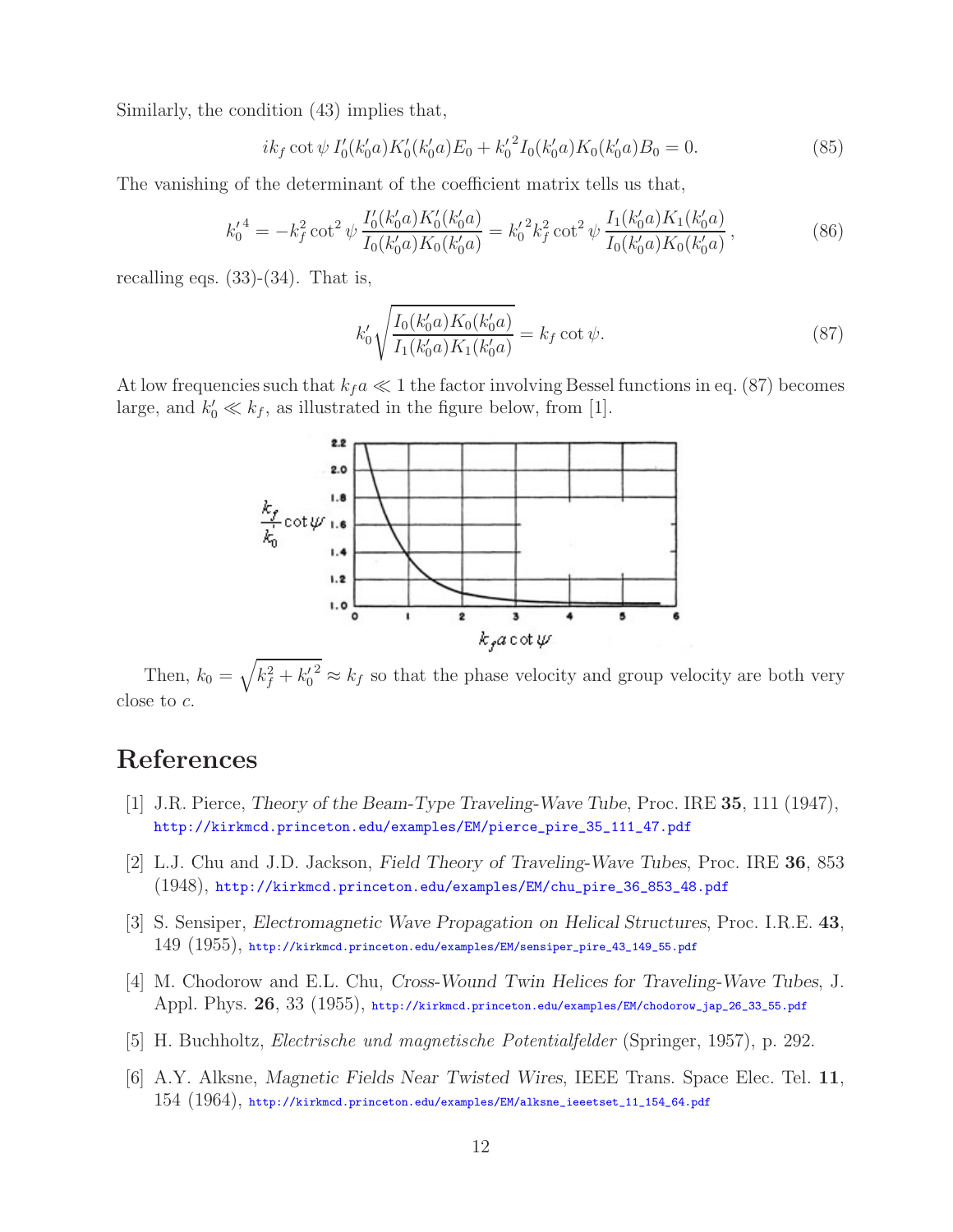Similarly, the condition (43) implies that,

$$
ik_f \cot \psi I_0'(k_0'a) K_0'(k_0'a) E_0 + k_0'^2 I_0(k_0'a) K_0(k_0'a) B_0 = 0.
$$
 (85)

The vanishing of the determinant of the coefficient matrix tells us that,

$$
k_0^{\prime 4} = -k_f^2 \cot^2 \psi \frac{I_0'(k_0' a) K_0'(k_0' a)}{I_0(k_0' a) K_0(k_0' a)} = k_0^{\prime 2} k_f^2 \cot^2 \psi \frac{I_1(k_0' a) K_1(k_0' a)}{I_0(k_0' a) K_0(k_0' a)},
$$
\n(86)

recalling eqs. (33)-(34). That is,

$$
k'_0 \sqrt{\frac{I_0(k'_0 a) K_0(k'_0 a)}{I_1(k'_0 a) K_1(k'_0 a)}} = k_f \cot \psi.
$$
 (87)

At low frequencies such that  $kfa \ll 1$  the factor involving Bessel functions in eq. (87) becomes large, and  $k'_0 \ll k_f$ , as illustrated in the figure below, from [1].



Then,  $k_0 = \sqrt{k_f^2 + k_0'^2} \approx k_f$  so that the phase velocity and group velocity are both very close to c.

### **References**

- [1] J.R. Pierce, *Theory of the Beam-Type Traveling-Wave Tube*, Proc. IRE **35**, 111 (1947), http://kirkmcd.princeton.edu/examples/EM/pierce\_pire\_35\_111\_47.pdf
- [2] L.J. Chu and J.D. Jackson, *Field Theory of Traveling-Wave Tubes*, Proc. IRE **36**, 853 (1948), http://kirkmcd.princeton.edu/examples/EM/chu\_pire\_36\_853\_48.pdf
- [3] S. Sensiper, *Electromagnetic Wave Propagation on Helical Structures*, Proc. I.R.E. **43**, 149 (1955), http://kirkmcd.princeton.edu/examples/EM/sensiper\_pire\_43\_149\_55.pdf
- [4] M. Chodorow and E.L. Chu, *Cross-Wound Twin Helices for Traveling-Wave Tubes*, J. Appl. Phys. **26**, 33 (1955), http://kirkmcd.princeton.edu/examples/EM/chodorow\_jap\_26\_33\_55.pdf
- [5] H. Buchholtz, *Electrische und magnetische Potentialfelder* (Springer, 1957), p. 292.
- [6] A.Y. Alksne, *Magnetic Fields Near Twisted Wires*, IEEE Trans. Space Elec. Tel. **11**, 154 (1964), http://kirkmcd.princeton.edu/examples/EM/alksne\_ieeetset\_11\_154\_64.pdf